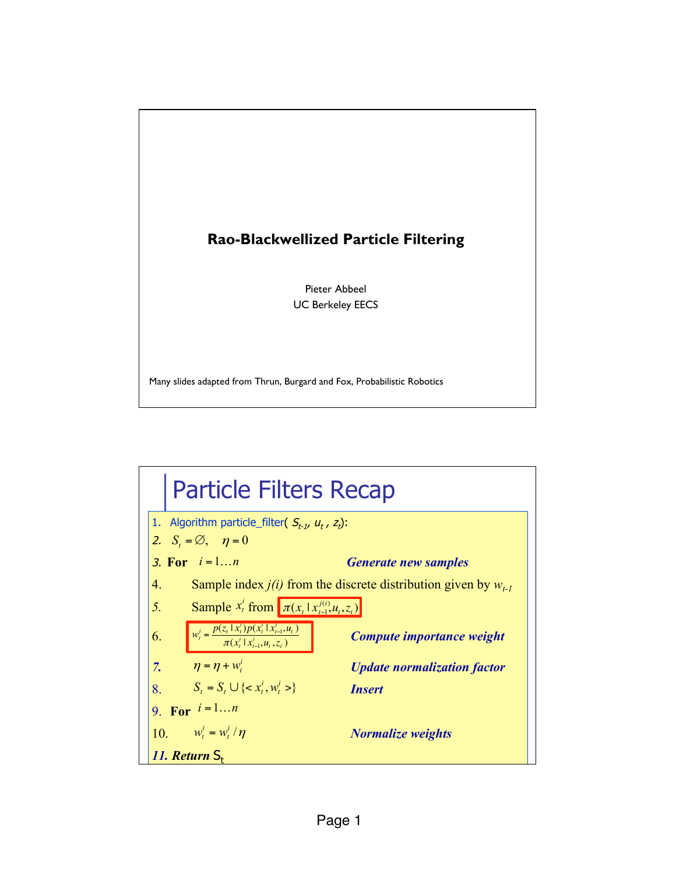

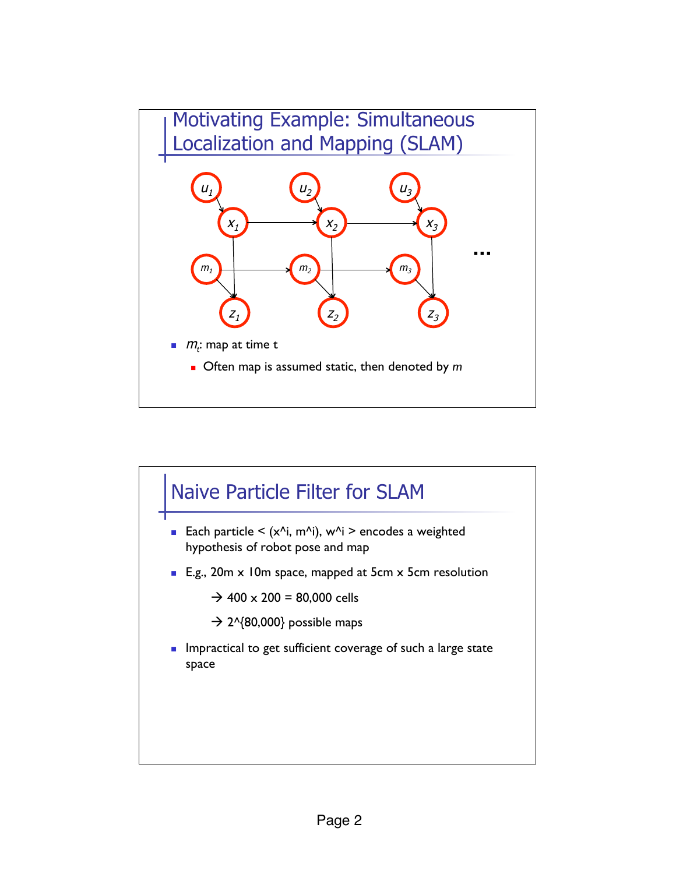

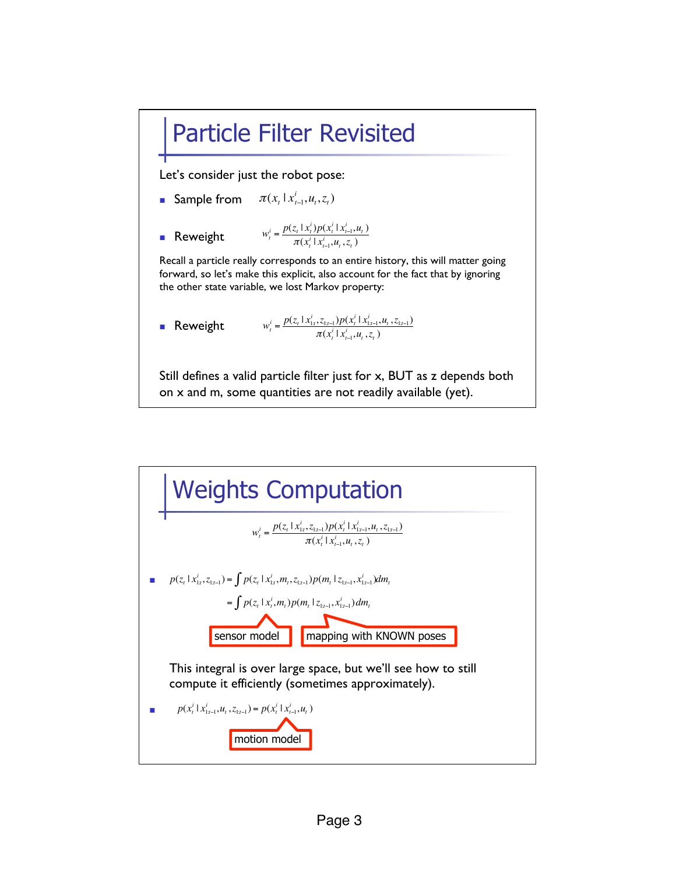## Particle Filter Revisited

Let's consider just the robot pose:

- **Sample from**  $\pi(x_t | x_{t-1}^i, u_t, z_t)$
- **Reweight**  $w_t^i = \frac{p(z_t | x_t^i)p(x_t^i | x_{t-1}^i, u_t)}{p(x_t^i | x_{t-1}^i, u_t)}$  $\pi(x_t^i | x_{t-1}^i, u_t, z_t)$

Recall a particle really corresponds to an entire history, this will matter going forward, so let's make this explicit, also account for the fact that by ignoring the other state variable, we lost Markov property:

■ **Reweight** 
$$
w_t^i = \frac{p(z_t | x_{1:t}^i, z_{1:t-1}) p(x_t^i | x_{1:t-1}^i, u_t, z_{1:t-1})}{\pi(x_t^i | x_{t-1}^i, u_t, z_t)}
$$

Still defines a valid particle filter just for x, BUT as z depends both on x and m, some quantities are not readily available (yet).

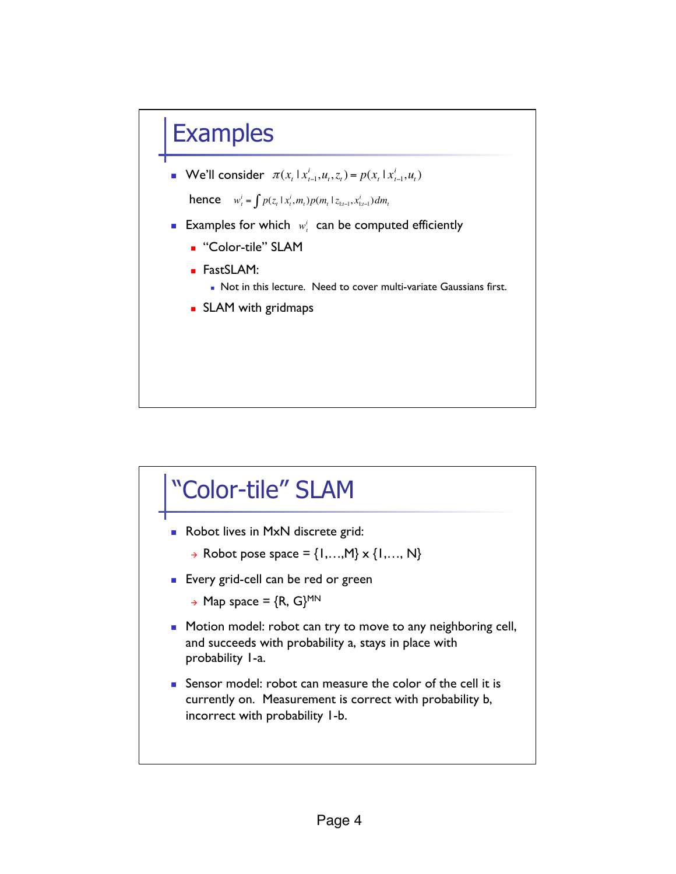## **Examples**

**•** We'll consider  $\pi(x_t | x_{t-1}^i, u_t, z_t) = p(x_t | x_{t-1}^i, u_t)$ 

hence  $w_t^i = \int p(z_t | x_t^i, m_t) p(m_t | z_{1:t-1}, x_{1:t-1}^i) dm_t$ 

- **Examples for which**  $w_i^i$  can be computed efficiently
	- **.** "Color-tile" SLAM
	- ! FastSLAM:
		- . Not in this lecture. Need to cover multi-variate Gaussians first.
	- **SLAM** with gridmaps

## "Color-tile" SLAM

- **Robot lives in MxN discrete grid:** 
	- $\rightarrow$  Robot pose space = {1,..., M}  $\times$  {1,..., N}
- **Exery grid-cell can be red or green** 
	- $\rightarrow$  Map space = {R, G}<sup>MN</sup>
- **I** Motion model: robot can try to move to any neighboring cell, and succeeds with probability a, stays in place with probability 1-a.
- **EXECUTE:** Sensor model: robot can measure the color of the cell it is currently on. Measurement is correct with probability b, incorrect with probability 1-b.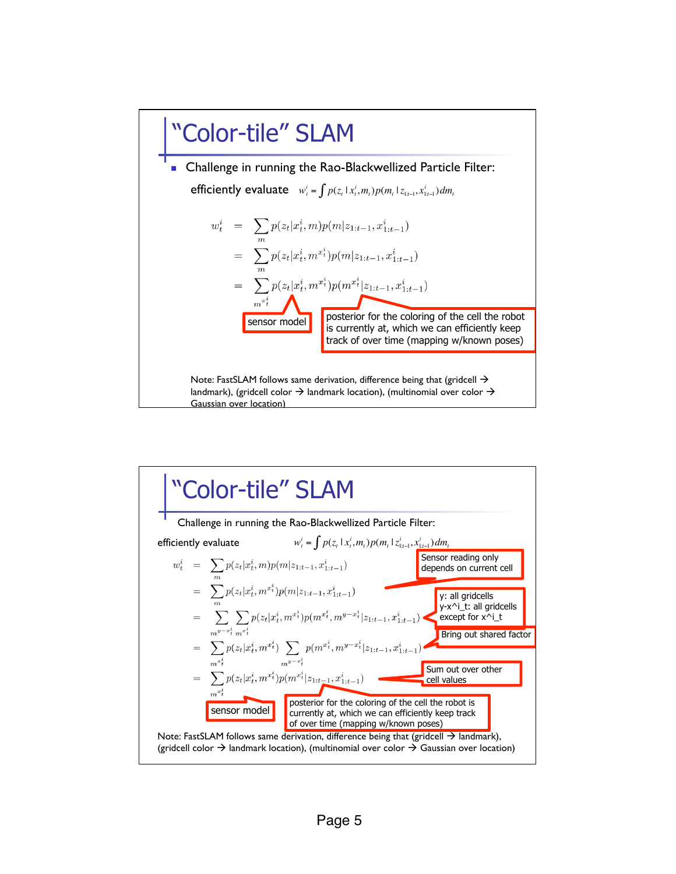